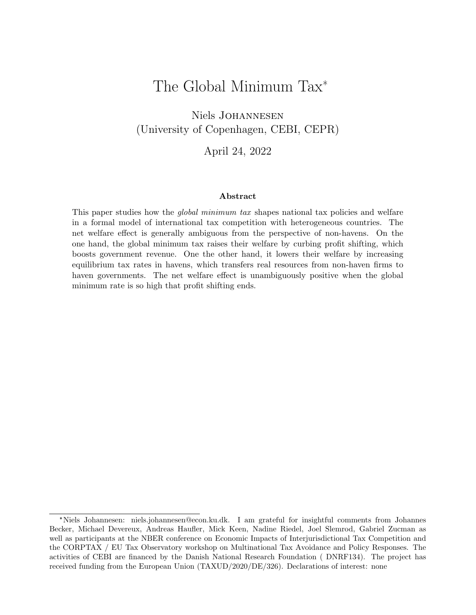# The Global Minimum Tax\*

Niels Johannesen (University of Copenhagen, CEBI, CEPR)

April 24, 2022

#### Abstract

This paper studies how the *global minimum tax* shapes national tax policies and welfare in a formal model of international tax competition with heterogeneous countries. The net welfare effect is generally ambiguous from the perspective of non-havens. On the one hand, the global minimum tax raises their welfare by curbing profit shifting, which boosts government revenue. One the other hand, it lowers their welfare by increasing equilibrium tax rates in havens, which transfers real resources from non-haven firms to haven governments. The net welfare effect is unambiguously positive when the global minimum rate is so high that profit shifting ends.

<sup>\*</sup>Niels Johannesen: niels.johannesen@econ.ku.dk. I am grateful for insightful comments from Johannes Becker, Michael Devereux, Andreas Haufler, Mick Keen, Nadine Riedel, Joel Slemrod, Gabriel Zucman as well as participants at the NBER conference on Economic Impacts of Interjurisdictional Tax Competition and the CORPTAX / EU Tax Observatory workshop on Multinational Tax Avoidance and Policy Responses. The activities of CEBI are financed by the Danish National Research Foundation ( DNRF134). The project has received funding from the European Union (TAXUD/2020/DE/326). Declarations of interest: none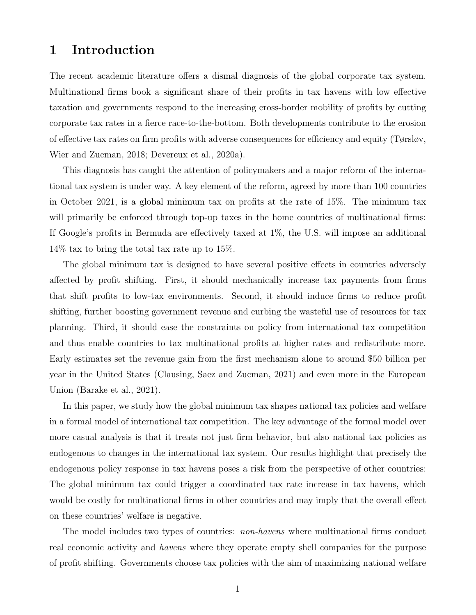## 1 Introduction

The recent academic literature offers a dismal diagnosis of the global corporate tax system. Multinational firms book a significant share of their profits in tax havens with low effective taxation and governments respond to the increasing cross-border mobility of profits by cutting corporate tax rates in a fierce race-to-the-bottom. Both developments contribute to the erosion of effective tax rates on firm profits with adverse consequences for efficiency and equity (Tørsløv, Wier and Zucman, 2018; Devereux et al., 2020a).

This diagnosis has caught the attention of policymakers and a major reform of the international tax system is under way. A key element of the reform, agreed by more than 100 countries in October 2021, is a global minimum tax on profits at the rate of 15%. The minimum tax will primarily be enforced through top-up taxes in the home countries of multinational firms: If Google's profits in Bermuda are effectively taxed at 1%, the U.S. will impose an additional 14% tax to bring the total tax rate up to 15%.

The global minimum tax is designed to have several positive effects in countries adversely affected by profit shifting. First, it should mechanically increase tax payments from firms that shift profits to low-tax environments. Second, it should induce firms to reduce profit shifting, further boosting government revenue and curbing the wasteful use of resources for tax planning. Third, it should ease the constraints on policy from international tax competition and thus enable countries to tax multinational profits at higher rates and redistribute more. Early estimates set the revenue gain from the first mechanism alone to around \$50 billion per year in the United States (Clausing, Saez and Zucman, 2021) and even more in the European Union (Barake et al., 2021).

In this paper, we study how the global minimum tax shapes national tax policies and welfare in a formal model of international tax competition. The key advantage of the formal model over more casual analysis is that it treats not just firm behavior, but also national tax policies as endogenous to changes in the international tax system. Our results highlight that precisely the endogenous policy response in tax havens poses a risk from the perspective of other countries: The global minimum tax could trigger a coordinated tax rate increase in tax havens, which would be costly for multinational firms in other countries and may imply that the overall effect on these countries' welfare is negative.

The model includes two types of countries: *non-havens* where multinational firms conduct real economic activity and havens where they operate empty shell companies for the purpose of profit shifting. Governments choose tax policies with the aim of maximizing national welfare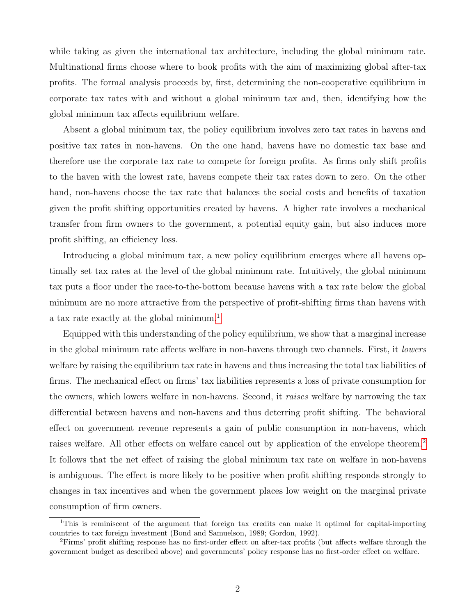while taking as given the international tax architecture, including the global minimum rate. Multinational firms choose where to book profits with the aim of maximizing global after-tax profits. The formal analysis proceeds by, first, determining the non-cooperative equilibrium in corporate tax rates with and without a global minimum tax and, then, identifying how the global minimum tax affects equilibrium welfare.

Absent a global minimum tax, the policy equilibrium involves zero tax rates in havens and positive tax rates in non-havens. On the one hand, havens have no domestic tax base and therefore use the corporate tax rate to compete for foreign profits. As firms only shift profits to the haven with the lowest rate, havens compete their tax rates down to zero. On the other hand, non-havens choose the tax rate that balances the social costs and benefits of taxation given the profit shifting opportunities created by havens. A higher rate involves a mechanical transfer from firm owners to the government, a potential equity gain, but also induces more profit shifting, an efficiency loss.

Introducing a global minimum tax, a new policy equilibrium emerges where all havens optimally set tax rates at the level of the global minimum rate. Intuitively, the global minimum tax puts a floor under the race-to-the-bottom because havens with a tax rate below the global minimum are no more attractive from the perspective of profit-shifting firms than havens with a tax rate exactly at the global minimum.<sup>[1](#page-2-0)</sup>

Equipped with this understanding of the policy equilibrium, we show that a marginal increase in the global minimum rate affects welfare in non-havens through two channels. First, it lowers welfare by raising the equilibrium tax rate in havens and thus increasing the total tax liabilities of firms. The mechanical effect on firms' tax liabilities represents a loss of private consumption for the owners, which lowers welfare in non-havens. Second, it raises welfare by narrowing the tax differential between havens and non-havens and thus deterring profit shifting. The behavioral effect on government revenue represents a gain of public consumption in non-havens, which raises welfare. All other effects on welfare cancel out by application of the envelope theorem.[2](#page-2-1) It follows that the net effect of raising the global minimum tax rate on welfare in non-havens is ambiguous. The effect is more likely to be positive when profit shifting responds strongly to changes in tax incentives and when the government places low weight on the marginal private consumption of firm owners.

<span id="page-2-0"></span><sup>1</sup>This is reminiscent of the argument that foreign tax credits can make it optimal for capital-importing countries to tax foreign investment (Bond and Samuelson, 1989; Gordon, 1992).

<span id="page-2-1"></span><sup>2</sup>Firms' profit shifting response has no first-order effect on after-tax profits (but affects welfare through the government budget as described above) and governments' policy response has no first-order effect on welfare.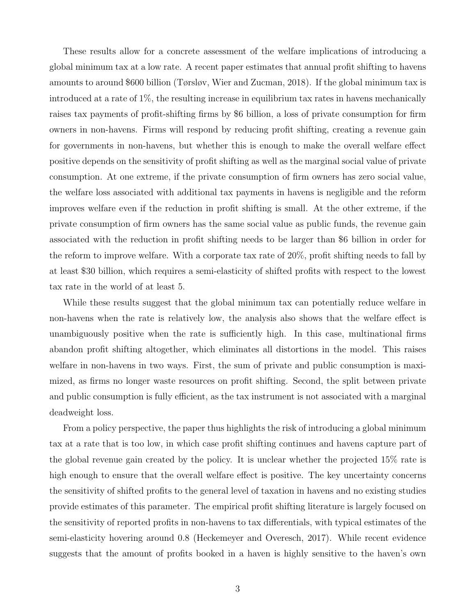These results allow for a concrete assessment of the welfare implications of introducing a global minimum tax at a low rate. A recent paper estimates that annual profit shifting to havens amounts to around \$600 billion (Tørsløv, Wier and Zucman, 2018). If the global minimum tax is introduced at a rate of 1%, the resulting increase in equilibrium tax rates in havens mechanically raises tax payments of profit-shifting firms by \$6 billion, a loss of private consumption for firm owners in non-havens. Firms will respond by reducing profit shifting, creating a revenue gain for governments in non-havens, but whether this is enough to make the overall welfare effect positive depends on the sensitivity of profit shifting as well as the marginal social value of private consumption. At one extreme, if the private consumption of firm owners has zero social value, the welfare loss associated with additional tax payments in havens is negligible and the reform improves welfare even if the reduction in profit shifting is small. At the other extreme, if the private consumption of firm owners has the same social value as public funds, the revenue gain associated with the reduction in profit shifting needs to be larger than \$6 billion in order for the reform to improve welfare. With a corporate tax rate of 20%, profit shifting needs to fall by at least \$30 billion, which requires a semi-elasticity of shifted profits with respect to the lowest tax rate in the world of at least 5.

While these results suggest that the global minimum tax can potentially reduce welfare in non-havens when the rate is relatively low, the analysis also shows that the welfare effect is unambiguously positive when the rate is sufficiently high. In this case, multinational firms abandon profit shifting altogether, which eliminates all distortions in the model. This raises welfare in non-havens in two ways. First, the sum of private and public consumption is maximized, as firms no longer waste resources on profit shifting. Second, the split between private and public consumption is fully efficient, as the tax instrument is not associated with a marginal deadweight loss.

From a policy perspective, the paper thus highlights the risk of introducing a global minimum tax at a rate that is too low, in which case profit shifting continues and havens capture part of the global revenue gain created by the policy. It is unclear whether the projected 15% rate is high enough to ensure that the overall welfare effect is positive. The key uncertainty concerns the sensitivity of shifted profits to the general level of taxation in havens and no existing studies provide estimates of this parameter. The empirical profit shifting literature is largely focused on the sensitivity of reported profits in non-havens to tax differentials, with typical estimates of the semi-elasticity hovering around 0.8 (Heckemeyer and Overesch, 2017). While recent evidence suggests that the amount of profits booked in a haven is highly sensitive to the haven's own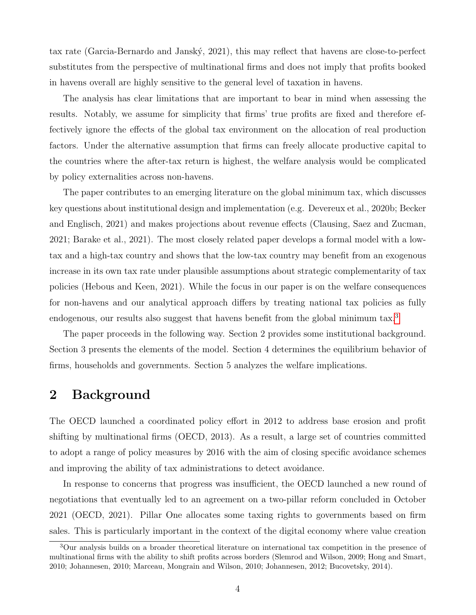tax rate (Garcia-Bernardo and Janský, 2021), this may reflect that havens are close-to-perfect substitutes from the perspective of multinational firms and does not imply that profits booked in havens overall are highly sensitive to the general level of taxation in havens.

The analysis has clear limitations that are important to bear in mind when assessing the results. Notably, we assume for simplicity that firms' true profits are fixed and therefore effectively ignore the effects of the global tax environment on the allocation of real production factors. Under the alternative assumption that firms can freely allocate productive capital to the countries where the after-tax return is highest, the welfare analysis would be complicated by policy externalities across non-havens.

The paper contributes to an emerging literature on the global minimum tax, which discusses key questions about institutional design and implementation (e.g. Devereux et al., 2020b; Becker and Englisch, 2021) and makes projections about revenue effects (Clausing, Saez and Zucman, 2021; Barake et al., 2021). The most closely related paper develops a formal model with a lowtax and a high-tax country and shows that the low-tax country may benefit from an exogenous increase in its own tax rate under plausible assumptions about strategic complementarity of tax policies (Hebous and Keen, 2021). While the focus in our paper is on the welfare consequences for non-havens and our analytical approach differs by treating national tax policies as fully endogenous, our results also suggest that havens benefit from the global minimum tax.<sup>[3](#page-4-0)</sup>

The paper proceeds in the following way. Section 2 provides some institutional background. Section 3 presents the elements of the model. Section 4 determines the equilibrium behavior of firms, households and governments. Section 5 analyzes the welfare implications.

### 2 Background

The OECD launched a coordinated policy effort in 2012 to address base erosion and profit shifting by multinational firms (OECD, 2013). As a result, a large set of countries committed to adopt a range of policy measures by 2016 with the aim of closing specific avoidance schemes and improving the ability of tax administrations to detect avoidance.

In response to concerns that progress was insufficient, the OECD launched a new round of negotiations that eventually led to an agreement on a two-pillar reform concluded in October 2021 (OECD, 2021). Pillar One allocates some taxing rights to governments based on firm sales. This is particularly important in the context of the digital economy where value creation

<span id="page-4-0"></span><sup>3</sup>Our analysis builds on a broader theoretical literature on international tax competition in the presence of multinational firms with the ability to shift profits across borders (Slemrod and Wilson, 2009; Hong and Smart, 2010; Johannesen, 2010; Marceau, Mongrain and Wilson, 2010; Johannesen, 2012; Bucovetsky, 2014).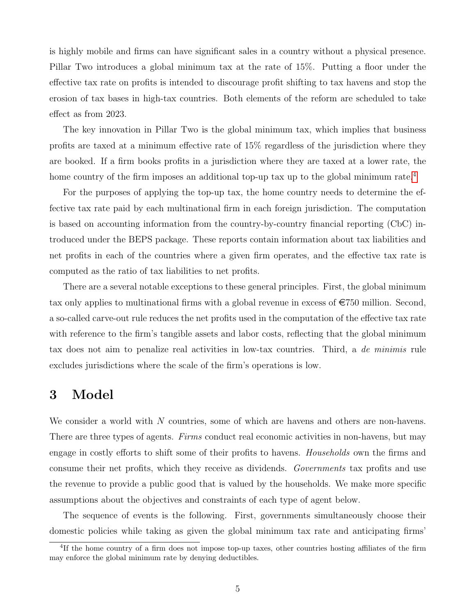is highly mobile and firms can have significant sales in a country without a physical presence. Pillar Two introduces a global minimum tax at the rate of 15%. Putting a floor under the effective tax rate on profits is intended to discourage profit shifting to tax havens and stop the erosion of tax bases in high-tax countries. Both elements of the reform are scheduled to take effect as from 2023.

The key innovation in Pillar Two is the global minimum tax, which implies that business profits are taxed at a minimum effective rate of 15% regardless of the jurisdiction where they are booked. If a firm books profits in a jurisdiction where they are taxed at a lower rate, the home country of the firm imposes an additional top-up tax up to the global minimum rate.<sup>[4](#page-5-0)</sup>

For the purposes of applying the top-up tax, the home country needs to determine the effective tax rate paid by each multinational firm in each foreign jurisdiction. The computation is based on accounting information from the country-by-country financial reporting (CbC) introduced under the BEPS package. These reports contain information about tax liabilities and net profits in each of the countries where a given firm operates, and the effective tax rate is computed as the ratio of tax liabilities to net profits.

There are a several notable exceptions to these general principles. First, the global minimum tax only applies to multinational firms with a global revenue in excess of  $\epsilon$ 750 million. Second, a so-called carve-out rule reduces the net profits used in the computation of the effective tax rate with reference to the firm's tangible assets and labor costs, reflecting that the global minimum tax does not aim to penalize real activities in low-tax countries. Third, a de minimis rule excludes jurisdictions where the scale of the firm's operations is low.

## 3 Model

We consider a world with N countries, some of which are havens and others are non-havens. There are three types of agents. Firms conduct real economic activities in non-havens, but may engage in costly efforts to shift some of their profits to havens. Households own the firms and consume their net profits, which they receive as dividends. Governments tax profits and use the revenue to provide a public good that is valued by the households. We make more specific assumptions about the objectives and constraints of each type of agent below.

The sequence of events is the following. First, governments simultaneously choose their domestic policies while taking as given the global minimum tax rate and anticipating firms'

<span id="page-5-0"></span><sup>&</sup>lt;sup>4</sup>If the home country of a firm does not impose top-up taxes, other countries hosting affiliates of the firm may enforce the global minimum rate by denying deductibles.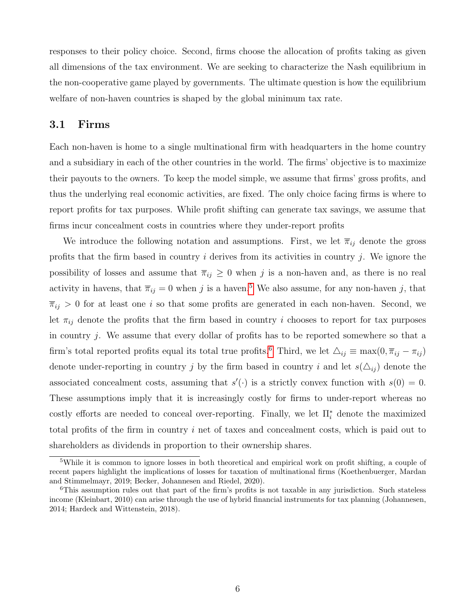responses to their policy choice. Second, firms choose the allocation of profits taking as given all dimensions of the tax environment. We are seeking to characterize the Nash equilibrium in the non-cooperative game played by governments. The ultimate question is how the equilibrium welfare of non-haven countries is shaped by the global minimum tax rate.

#### 3.1 Firms

Each non-haven is home to a single multinational firm with headquarters in the home country and a subsidiary in each of the other countries in the world. The firms' objective is to maximize their payouts to the owners. To keep the model simple, we assume that firms' gross profits, and thus the underlying real economic activities, are fixed. The only choice facing firms is where to report profits for tax purposes. While profit shifting can generate tax savings, we assume that firms incur concealment costs in countries where they under-report profits

We introduce the following notation and assumptions. First, we let  $\bar{\pi}_{ij}$  denote the gross profits that the firm based in country  $i$  derives from its activities in country  $j$ . We ignore the possibility of losses and assume that  $\overline{\pi}_{ij} \geq 0$  when j is a non-haven and, as there is no real activity in havens, that  $\overline{\pi}_{ij} = 0$  when j is a haven.<sup>[5](#page-6-0)</sup> We also assume, for any non-haven j, that  $\overline{\pi}_{ij} > 0$  for at least one i so that some profits are generated in each non-haven. Second, we let  $\pi_{ij}$  denote the profits that the firm based in country i chooses to report for tax purposes in country  $j$ . We assume that every dollar of profits has to be reported somewhere so that a firm's total reported profits equal its total true profits.<sup>[6](#page-6-1)</sup> Third, we let  $\Delta_{ij} \equiv \max(0, \overline{\pi}_{ij} - \pi_{ij})$ denote under-reporting in country j by the firm based in country i and let  $s(\Delta_{ij})$  denote the associated concealment costs, assuming that  $s'(\cdot)$  is a strictly convex function with  $s(0) = 0$ . These assumptions imply that it is increasingly costly for firms to under-report whereas no costly efforts are needed to conceal over-reporting. Finally, we let  $\Pi_i^*$  denote the maximized total profits of the firm in country i net of taxes and concealment costs, which is paid out to shareholders as dividends in proportion to their ownership shares.

<span id="page-6-0"></span><sup>&</sup>lt;sup>5</sup>While it is common to ignore losses in both theoretical and empirical work on profit shifting, a couple of recent papers highlight the implications of losses for taxation of multinational firms (Koethenbuerger, Mardan and Stimmelmayr, 2019; Becker, Johannesen and Riedel, 2020).

<span id="page-6-1"></span> $6$ This assumption rules out that part of the firm's profits is not taxable in any jurisdiction. Such stateless income (Kleinbart, 2010) can arise through the use of hybrid financial instruments for tax planning (Johannesen, 2014; Hardeck and Wittenstein, 2018).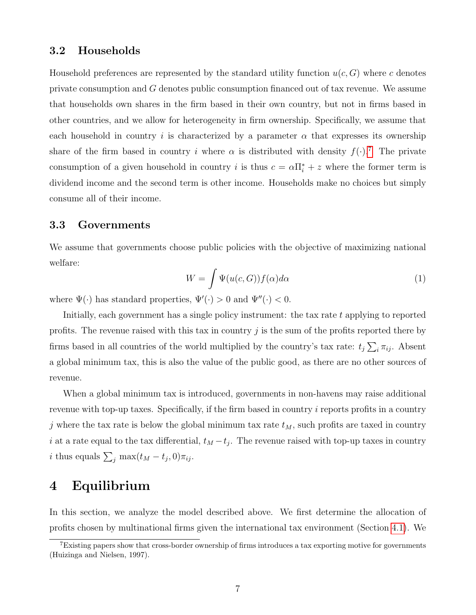#### 3.2 Households

Household preferences are represented by the standard utility function  $u(c, G)$  where c denotes private consumption and G denotes public consumption financed out of tax revenue. We assume that households own shares in the firm based in their own country, but not in firms based in other countries, and we allow for heterogeneity in firm ownership. Specifically, we assume that each household in country i is characterized by a parameter  $\alpha$  that expresses its ownership share of the firm based in country i where  $\alpha$  is distributed with density  $f(\cdot)$ .<sup>[7](#page-7-0)</sup> The private consumption of a given household in country i is thus  $c = \alpha \prod_{i=1}^{n} t_i + z$  where the former term is dividend income and the second term is other income. Households make no choices but simply consume all of their income.

#### 3.3 Governments

We assume that governments choose public policies with the objective of maximizing national welfare:

$$
W = \int \Psi(u(c, G)) f(\alpha) d\alpha \tag{1}
$$

where  $\Psi(\cdot)$  has standard properties,  $\Psi'(\cdot) > 0$  and  $\Psi''(\cdot) < 0$ .

Initially, each government has a single policy instrument: the tax rate t applying to reported profits. The revenue raised with this tax in country j is the sum of the profits reported there by firms based in all countries of the world multiplied by the country's tax rate:  $t_j \sum_i \pi_{ij}$ . Absent a global minimum tax, this is also the value of the public good, as there are no other sources of revenue.

When a global minimum tax is introduced, governments in non-havens may raise additional revenue with top-up taxes. Specifically, if the firm based in country i reports profits in a country j where the tax rate is below the global minimum tax rate  $t_M$ , such profits are taxed in country i at a rate equal to the tax differential,  $t_M - t_j$ . The revenue raised with top-up taxes in country *i* thus equals  $\sum_j \max(t_M - t_j, 0)\pi_{ij}$ .

### 4 Equilibrium

In this section, we analyze the model described above. We first determine the allocation of profits chosen by multinational firms given the international tax environment (Section [4.1\)](#page-8-0). We

<span id="page-7-0"></span><sup>&</sup>lt;sup>7</sup>Existing papers show that cross-border ownership of firms introduces a tax exporting motive for governments (Huizinga and Nielsen, 1997).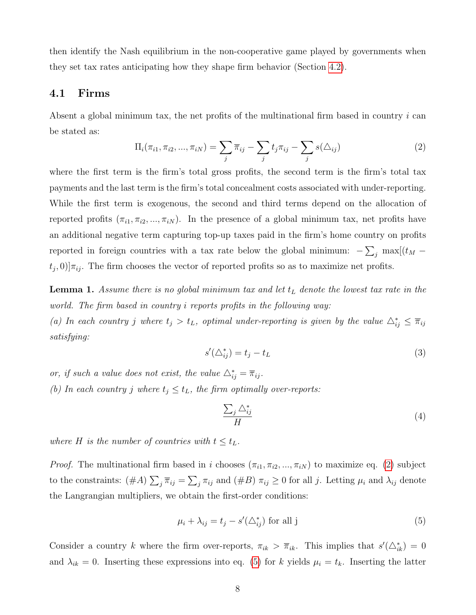then identify the Nash equilibrium in the non-cooperative game played by governments when they set tax rates anticipating how they shape firm behavior (Section [4.2\)](#page-10-0).

#### <span id="page-8-0"></span>4.1 Firms

Absent a global minimum tax, the net profits of the multinational firm based in country  $i$  can be stated as:

<span id="page-8-1"></span>
$$
\Pi_i(\pi_{i1}, \pi_{i2}, ..., \pi_{iN}) = \sum_j \overline{\pi}_{ij} - \sum_j t_j \pi_{ij} - \sum_j s(\triangle_{ij})
$$
\n(2)

where the first term is the firm's total gross profits, the second term is the firm's total tax payments and the last term is the firm's total concealment costs associated with under-reporting. While the first term is exogenous, the second and third terms depend on the allocation of reported profits  $(\pi_{i1}, \pi_{i2}, ..., \pi_{iN})$ . In the presence of a global minimum tax, net profits have an additional negative term capturing top-up taxes paid in the firm's home country on profits reported in foreign countries with a tax rate below the global minimum:  $-\sum_j \max[(t_M (t_j, 0)$ ] $\pi_{ij}$ . The firm chooses the vector of reported profits so as to maximize net profits.

<span id="page-8-5"></span>**Lemma 1.** Assume there is no global minimum tax and let  $t_L$  denote the lowest tax rate in the world. The firm based in country i reports profits in the following way:

(a) In each country j where  $t_j > t_L$ , optimal under-reporting is given by the value  $\Delta_{ij}^* \leq \overline{\pi}_{ij}$ satisfying:

<span id="page-8-3"></span>
$$
s'(\triangle_{ij}^*) = t_j - t_L \tag{3}
$$

or, if such a value does not exist, the value  $\triangle_{ij}^* = \overline{\pi}_{ij}$ . (b) In each country j where  $t_j \leq t_L$ , the firm optimally over-reports:

<span id="page-8-4"></span>
$$
\frac{\sum_{j} \triangle_{ij}^*}{H} \tag{4}
$$

where H is the number of countries with  $t \leq t_L$ .

*Proof.* The multinational firm based in i chooses  $(\pi_{i1}, \pi_{i2}, ..., \pi_{iN})$  to maximize eq. [\(2\)](#page-8-1) subject to the constraints:  $(\#A) \sum_j \overline{\pi}_{ij} = \sum_j \pi_{ij}$  and  $(\#B) \pi_{ij} \geq 0$  for all j. Letting  $\mu_i$  and  $\lambda_{ij}$  denote the Langrangian multipliers, we obtain the first-order conditions:

<span id="page-8-2"></span>
$$
\mu_i + \lambda_{ij} = t_j - s'(\Delta_{ij}^*)
$$
 for all j (5)

Consider a country k where the firm over-reports,  $\pi_{ik} > \overline{\pi}_{ik}$ . This implies that  $s'(\Delta_{ik}^*) = 0$ and  $\lambda_{ik} = 0$ . Inserting these expressions into eq. [\(5\)](#page-8-2) for k yields  $\mu_i = t_k$ . Inserting the latter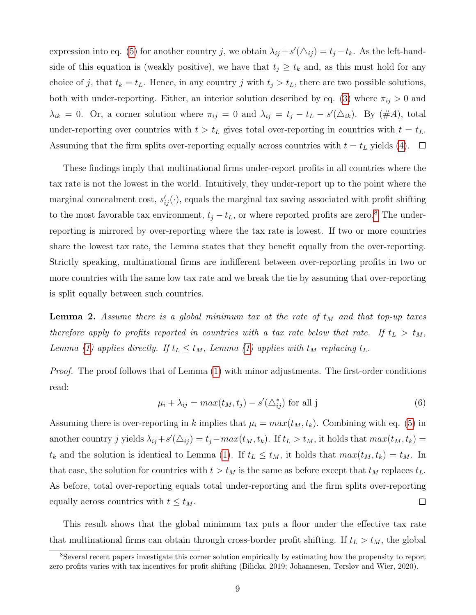expression into eq. [\(5\)](#page-8-2) for another country j, we obtain  $\lambda_{ij} + s'(\Delta_{ij}) = t_j - t_k$ . As the left-handside of this equation is (weakly positive), we have that  $t_j \geq t_k$  and, as this must hold for any choice of j, that  $t_k = t_L$ . Hence, in any country j with  $t_j > t_L$ , there are two possible solutions, both with under-reporting. Either, an interior solution described by eq. [\(3\)](#page-8-3) where  $\pi_{ij} > 0$  and  $\lambda_{ik} = 0$ . Or, a corner solution where  $\pi_{ij} = 0$  and  $\lambda_{ij} = t_j - t_L - s'(\Delta_{ik})$ . By  $(\#A)$ , total under-reporting over countries with  $t > t_L$  gives total over-reporting in countries with  $t = t_L$ . Assuming that the firm splits over-reporting equally across countries with  $t = t_L$  yields [\(4\)](#page-8-4).  $\Box$ 

These findings imply that multinational firms under-report profits in all countries where the tax rate is not the lowest in the world. Intuitively, they under-report up to the point where the marginal concealment cost,  $s'_{ij}(\cdot)$ , equals the marginal tax saving associated with profit shifting to the most favorable tax environment,  $t_j - t_L$ , or where reported profits are zero.<sup>[8](#page-9-0)</sup> The underreporting is mirrored by over-reporting where the tax rate is lowest. If two or more countries share the lowest tax rate, the Lemma states that they benefit equally from the over-reporting. Strictly speaking, multinational firms are indifferent between over-reporting profits in two or more countries with the same low tax rate and we break the tie by assuming that over-reporting is split equally between such countries.

<span id="page-9-1"></span>**Lemma 2.** Assume there is a global minimum tax at the rate of  $t_M$  and that top-up taxes therefore apply to profits reported in countries with a tax rate below that rate. If  $t_L > t_M$ , Lemma [\(1\)](#page-8-5) applies directly. If  $t_L \le t_M$ , Lemma (1) applies with  $t_M$  replacing  $t_L$ .

Proof. The proof follows that of Lemma  $(1)$  with minor adjustments. The first-order conditions read:

$$
\mu_i + \lambda_{ij} = max(t_M, t_j) - s'(\Delta_{ij}^*)
$$
 for all j (6)

Assuming there is over-reporting in k implies that  $\mu_i = max(t_M, t_k)$ . Combining with eq. [\(5\)](#page-8-2) in another country j yields  $\lambda_{ij} + s'(\Delta_{ij}) = t_j - max(t_M, t_k)$ . If  $t_L > t_M$ , it holds that  $max(t_M, t_k) =$  $t_k$  and the solution is identical to Lemma [\(1\)](#page-8-5). If  $t_L \leq t_M$ , it holds that  $max(t_M, t_k) = t_M$ . In that case, the solution for countries with  $t > t_M$  is the same as before except that  $t_M$  replaces  $t_L$ . As before, total over-reporting equals total under-reporting and the firm splits over-reporting equally across countries with  $t \leq t_M$ .  $\Box$ 

This result shows that the global minimum tax puts a floor under the effective tax rate that multinational firms can obtain through cross-border profit shifting. If  $t_L > t_M$ , the global

<span id="page-9-0"></span><sup>8</sup>Several recent papers investigate this corner solution empirically by estimating how the propensity to report zero profits varies with tax incentives for profit shifting (Bilicka, 2019; Johannesen, Tørsløv and Wier, 2020).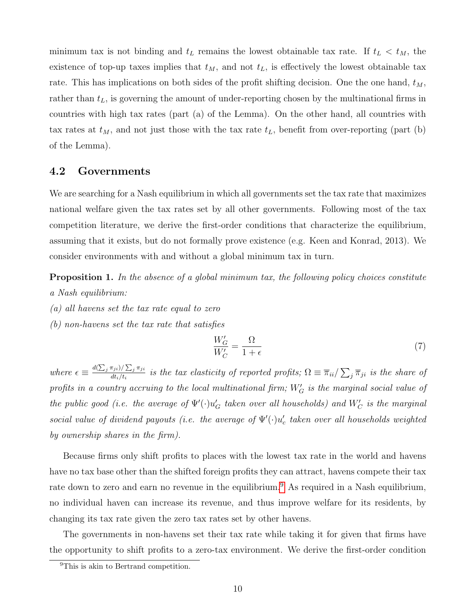minimum tax is not binding and  $t_L$  remains the lowest obtainable tax rate. If  $t_L < t_M$ , the existence of top-up taxes implies that  $t_M$ , and not  $t_L$ , is effectively the lowest obtainable tax rate. This has implications on both sides of the profit shifting decision. One the one hand,  $t_M$ , rather than  $t_L$ , is governing the amount of under-reporting chosen by the multinational firms in countries with high tax rates (part (a) of the Lemma). On the other hand, all countries with tax rates at  $t_M$ , and not just those with the tax rate  $t_L$ , benefit from over-reporting (part (b) of the Lemma).

#### <span id="page-10-0"></span>4.2 Governments

We are searching for a Nash equilibrium in which all governments set the tax rate that maximizes national welfare given the tax rates set by all other governments. Following most of the tax competition literature, we derive the first-order conditions that characterize the equilibrium, assuming that it exists, but do not formally prove existence (e.g. Keen and Konrad, 2013). We consider environments with and without a global minimum tax in turn.

<span id="page-10-3"></span>**Proposition 1.** In the absence of a global minimum tax, the following policy choices constitute a Nash equilibrium:

- (a) all havens set the tax rate equal to zero
- (b) non-havens set the tax rate that satisfies

<span id="page-10-2"></span>
$$
\frac{W_G'}{W_C'} = \frac{\Omega}{1 + \epsilon} \tag{7}
$$

where  $\epsilon \equiv \frac{d(\sum_j \pi_{ji})/\sum_j \pi_{ji}}{dt}/t}$ .  $\frac{d(i,j)}{dt_i/t_i}$  is the tax elasticity of reported profits;  $\Omega \equiv \overline{\pi}_{ii}/\sum_j \overline{\pi}_{ji}$  is the share of profits in a country accruing to the local multinational firm;  $W'_{G}$  is the marginal social value of the public good (i.e. the average of  $\Psi'(\cdot)u_G'$  taken over all households) and  $W_C'$  is the marginal social value of dividend payouts (i.e. the average of  $\Psi'(\cdot)u_c'$  taken over all households weighted by ownership shares in the firm).

Because firms only shift profits to places with the lowest tax rate in the world and havens have no tax base other than the shifted foreign profits they can attract, havens compete their tax rate down to zero and earn no revenue in the equilibrium.<sup>[9](#page-10-1)</sup> As required in a Nash equilibrium, no individual haven can increase its revenue, and thus improve welfare for its residents, by changing its tax rate given the zero tax rates set by other havens.

The governments in non-havens set their tax rate while taking it for given that firms have the opportunity to shift profits to a zero-tax environment. We derive the first-order condition

<span id="page-10-1"></span><sup>&</sup>lt;sup>9</sup>This is akin to Bertrand competition.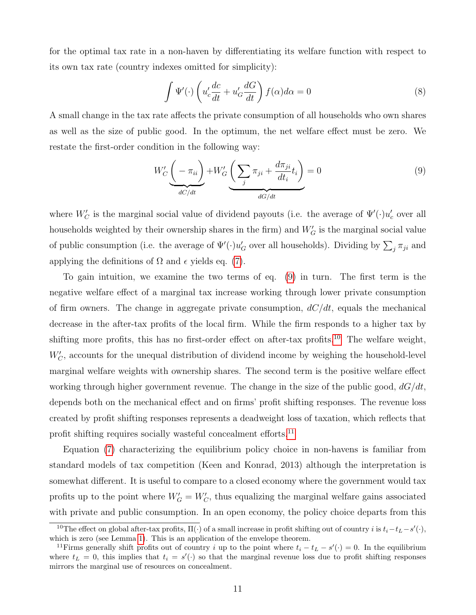for the optimal tax rate in a non-haven by differentiating its welfare function with respect to its own tax rate (country indexes omitted for simplicity):

$$
\int \Psi'(\cdot) \left( u_c' \frac{dc}{dt} + u_c' \frac{dG}{dt} \right) f(\alpha) d\alpha = 0 \tag{8}
$$

A small change in the tax rate affects the private consumption of all households who own shares as well as the size of public good. In the optimum, the net welfare effect must be zero. We restate the first-order condition in the following way:

<span id="page-11-0"></span>
$$
W'_{C} \underbrace{\left(-\pi_{ii}\right)}_{dC/dt} + W'_{G} \underbrace{\left(\sum_{j} \pi_{ji} + \frac{d\pi_{ji}}{dt_i} t_i\right)}_{dG/dt} = 0
$$
\n<sup>(9)</sup>

where  $W'_{C}$  is the marginal social value of dividend payouts (i.e. the average of  $\Psi'(\cdot)u'_{c}$  over all households weighted by their ownership shares in the firm) and  $W'_{G}$  is the marginal social value of public consumption (i.e. the average of  $\Psi'(\cdot)u'_G$  over all households). Dividing by  $\sum_j \pi_{ji}$  and applying the definitions of  $\Omega$  and  $\epsilon$  yields eq. [\(7\)](#page-10-2).

To gain intuition, we examine the two terms of eq. [\(9\)](#page-11-0) in turn. The first term is the negative welfare effect of a marginal tax increase working through lower private consumption of firm owners. The change in aggregate private consumption,  $dC/dt$ , equals the mechanical decrease in the after-tax profits of the local firm. While the firm responds to a higher tax by shifting more profits, this has no first-order effect on after-tax profits.<sup>[10](#page-11-1)</sup> The welfare weight,  $W_C'$ , accounts for the unequal distribution of dividend income by weighing the household-level marginal welfare weights with ownership shares. The second term is the positive welfare effect working through higher government revenue. The change in the size of the public good,  $dG/dt$ , depends both on the mechanical effect and on firms' profit shifting responses. The revenue loss created by profit shifting responses represents a deadweight loss of taxation, which reflects that profit shifting requires socially wasteful concealment efforts.<sup>[11](#page-11-2)</sup>

Equation [\(7\)](#page-10-2) characterizing the equilibrium policy choice in non-havens is familiar from standard models of tax competition (Keen and Konrad, 2013) although the interpretation is somewhat different. It is useful to compare to a closed economy where the government would tax profits up to the point where  $W'_G = W'_C$ , thus equalizing the marginal welfare gains associated with private and public consumption. In an open economy, the policy choice departs from this

<span id="page-11-1"></span><sup>&</sup>lt;sup>10</sup>The effect on global after-tax profits,  $\Pi(\cdot)$  of a small increase in profit shifting out of country *i* is  $t_i-t_L - s'(\cdot)$ , which is zero (see Lemma [1\)](#page-8-5). This is an application of the envelope theorem.

<span id="page-11-2"></span><sup>&</sup>lt;sup>11</sup>Firms generally shift profits out of country i up to the point where  $t_i - t_i - s'(\cdot) = 0$ . In the equilibrium where  $t_L = 0$ , this implies that  $t_i = s'(\cdot)$  so that the marginal revenue loss due to profit shifting responses mirrors the marginal use of resources on concealment.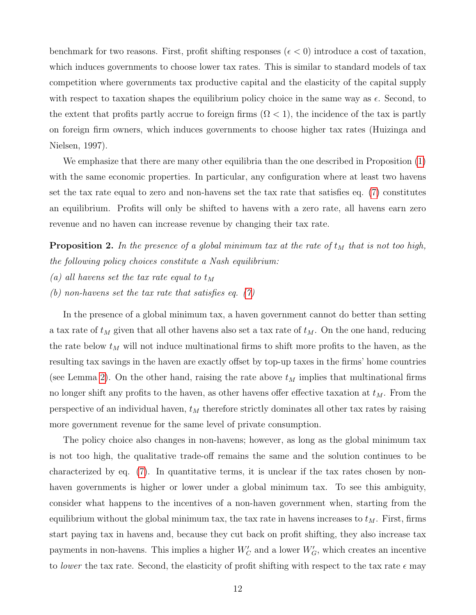benchmark for two reasons. First, profit shifting responses ( $\epsilon < 0$ ) introduce a cost of taxation, which induces governments to choose lower tax rates. This is similar to standard models of tax competition where governments tax productive capital and the elasticity of the capital supply with respect to taxation shapes the equilibrium policy choice in the same way as  $\epsilon$ . Second, to the extent that profits partly accrue to foreign firms  $(Ω < 1)$ , the incidence of the tax is partly on foreign firm owners, which induces governments to choose higher tax rates (Huizinga and Nielsen, 1997).

We emphasize that there are many other equilibria than the one described in Proposition [\(1\)](#page-10-3) with the same economic properties. In particular, any configuration where at least two havens set the tax rate equal to zero and non-havens set the tax rate that satisfies eq. [\(7\)](#page-10-2) constitutes an equilibrium. Profits will only be shifted to havens with a zero rate, all havens earn zero revenue and no haven can increase revenue by changing their tax rate.

<span id="page-12-0"></span>**Proposition 2.** In the presence of a global minimum tax at the rate of  $t_M$  that is not too high, the following policy choices constitute a Nash equilibrium:

- (a) all havens set the tax rate equal to  $t_M$
- (b) non-havens set the tax rate that satisfies eq.  $(7)$

In the presence of a global minimum tax, a haven government cannot do better than setting a tax rate of  $t_M$  given that all other havens also set a tax rate of  $t_M$ . On the one hand, reducing the rate below  $t_M$  will not induce multinational firms to shift more profits to the haven, as the resulting tax savings in the haven are exactly offset by top-up taxes in the firms' home countries (see Lemma [2\)](#page-9-1). On the other hand, raising the rate above  $t_M$  implies that multinational firms no longer shift any profits to the haven, as other havens offer effective taxation at  $t_M$ . From the perspective of an individual haven,  $t_M$  therefore strictly dominates all other tax rates by raising more government revenue for the same level of private consumption.

The policy choice also changes in non-havens; however, as long as the global minimum tax is not too high, the qualitative trade-off remains the same and the solution continues to be characterized by eq. [\(7\)](#page-10-2). In quantitative terms, it is unclear if the tax rates chosen by nonhaven governments is higher or lower under a global minimum tax. To see this ambiguity, consider what happens to the incentives of a non-haven government when, starting from the equilibrium without the global minimum tax, the tax rate in havens increases to  $t_M$ . First, firms start paying tax in havens and, because they cut back on profit shifting, they also increase tax payments in non-havens. This implies a higher  $W_C'$  and a lower  $W_G'$ , which creates an incentive to lower the tax rate. Second, the elasticity of profit shifting with respect to the tax rate  $\epsilon$  may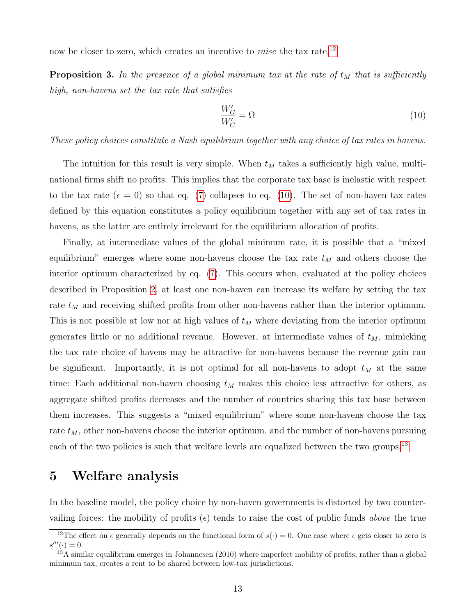now be closer to zero, which creates an incentive to *raise* the tax rate.<sup>[12](#page-13-0)</sup>

**Proposition 3.** In the presence of a global minimum tax at the rate of  $t_M$  that is sufficiently high, non-havens set the tax rate that satisfies

<span id="page-13-1"></span>
$$
\frac{W'_G}{W'_C} = \Omega\tag{10}
$$

These policy choices constitute a Nash equilibrium together with any choice of tax rates in havens.

The intuition for this result is very simple. When  $t_M$  takes a sufficiently high value, multinational firms shift no profits. This implies that the corporate tax base is inelastic with respect to the tax rate  $(\epsilon = 0)$  so that eq. [\(7\)](#page-10-2) collapses to eq. [\(10\)](#page-13-1). The set of non-haven tax rates defined by this equation constitutes a policy equilibrium together with any set of tax rates in havens, as the latter are entirely irrelevant for the equilibrium allocation of profits.

Finally, at intermediate values of the global minimum rate, it is possible that a "mixed equilibrium" emerges where some non-havens choose the tax rate  $t_M$  and others choose the interior optimum characterized by eq. [\(7\)](#page-10-2). This occurs when, evaluated at the policy choices described in Proposition [2,](#page-12-0) at least one non-haven can increase its welfare by setting the tax rate  $t_M$  and receiving shifted profits from other non-havens rather than the interior optimum. This is not possible at low nor at high values of  $t_M$  where deviating from the interior optimum generates little or no additional revenue. However, at intermediate values of  $t_M$ , mimicking the tax rate choice of havens may be attractive for non-havens because the revenue gain can be significant. Importantly, it is not optimal for all non-havens to adopt  $t_M$  at the same time: Each additional non-haven choosing  $t_M$  makes this choice less attractive for others, as aggregate shifted profits decreases and the number of countries sharing this tax base between them increases. This suggests a "mixed equilibrium" where some non-havens choose the tax rate  $t_M$ , other non-havens choose the interior optimum, and the number of non-havens pursuing each of the two policies is such that welfare levels are equalized between the two groups.<sup>[13](#page-13-2)</sup>

#### 5 Welfare analysis

In the baseline model, the policy choice by non-haven governments is distorted by two countervailing forces: the mobility of profits  $(\epsilon)$  tends to raise the cost of public funds *above* the true

<span id="page-13-0"></span><sup>&</sup>lt;sup>12</sup>The effect on  $\epsilon$  generally depends on the functional form of  $s(\cdot) = 0$ . One case where  $\epsilon$  gets closer to zero is  $s'''(\cdot) = 0.$ 

<span id="page-13-2"></span> $13A$  similar equilibrium emerges in Johannesen (2010) where imperfect mobility of profits, rather than a global minimum tax, creates a rent to be shared between low-tax jurisdictions.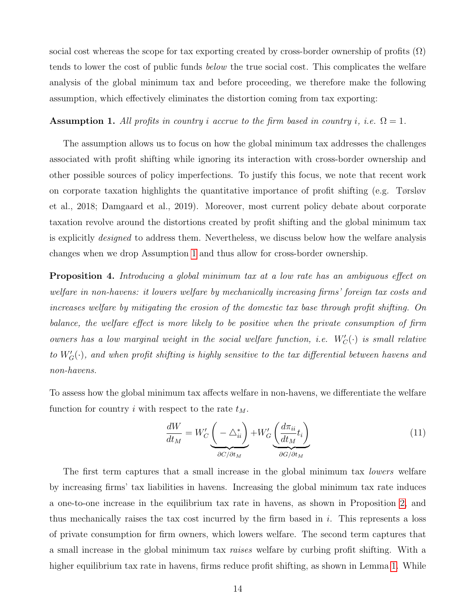social cost whereas the scope for tax exporting created by cross-border ownership of profits  $(\Omega)$ tends to lower the cost of public funds *below* the true social cost. This complicates the welfare analysis of the global minimum tax and before proceeding, we therefore make the following assumption, which effectively eliminates the distortion coming from tax exporting:

#### <span id="page-14-0"></span>**Assumption 1.** All profits in country i accrue to the firm based in country i, i.e.  $\Omega = 1$ .

The assumption allows us to focus on how the global minimum tax addresses the challenges associated with profit shifting while ignoring its interaction with cross-border ownership and other possible sources of policy imperfections. To justify this focus, we note that recent work on corporate taxation highlights the quantitative importance of profit shifting (e.g. Tørsløv et al., 2018; Damgaard et al., 2019). Moreover, most current policy debate about corporate taxation revolve around the distortions created by profit shifting and the global minimum tax is explicitly designed to address them. Nevertheless, we discuss below how the welfare analysis changes when we drop Assumption [1](#page-14-0) and thus allow for cross-border ownership.

Proposition 4. Introducing a global minimum tax at a low rate has an ambiguous effect on welfare in non-havens: it lowers welfare by mechanically increasing firms' foreign tax costs and increases welfare by mitigating the erosion of the domestic tax base through profit shifting. On balance, the welfare effect is more likely to be positive when the private consumption of firm owners has a low marginal weight in the social welfare function, i.e.  $W'_{C}(\cdot)$  is small relative to  $W_G'(\cdot)$ , and when profit shifting is highly sensitive to the tax differential between havens and non-havens.

To assess how the global minimum tax affects welfare in non-havens, we differentiate the welfare function for country i with respect to the rate  $t_M$ .

<span id="page-14-1"></span>
$$
\frac{dW}{dt_M} = W'_C \underbrace{\left(-\bigtriangleup_{ii}^*\right)}_{\partial C/\partial t_M} + W'_G \underbrace{\left(\frac{d\pi_{ii}}{dt_M}t_i\right)}_{\partial G/\partial t_M}
$$
\n(11)

The first term captures that a small increase in the global minimum tax *lowers* welfare by increasing firms' tax liabilities in havens. Increasing the global minimum tax rate induces a one-to-one increase in the equilibrium tax rate in havens, as shown in Proposition [2,](#page-12-0) and thus mechanically raises the tax cost incurred by the firm based in  $i$ . This represents a loss of private consumption for firm owners, which lowers welfare. The second term captures that a small increase in the global minimum tax raises welfare by curbing profit shifting. With a higher equilibrium tax rate in havens, firms reduce profit shifting, as shown in Lemma [1.](#page-8-5) While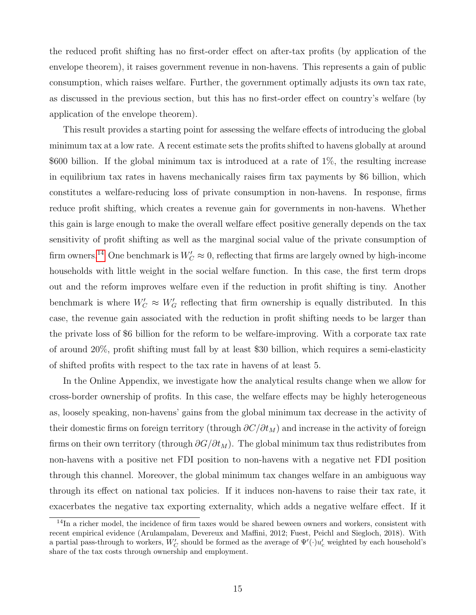the reduced profit shifting has no first-order effect on after-tax profits (by application of the envelope theorem), it raises government revenue in non-havens. This represents a gain of public consumption, which raises welfare. Further, the government optimally adjusts its own tax rate, as discussed in the previous section, but this has no first-order effect on country's welfare (by application of the envelope theorem).

This result provides a starting point for assessing the welfare effects of introducing the global minimum tax at a low rate. A recent estimate sets the profits shifted to havens globally at around \$600 billion. If the global minimum tax is introduced at a rate of 1%, the resulting increase in equilibrium tax rates in havens mechanically raises firm tax payments by \$6 billion, which constitutes a welfare-reducing loss of private consumption in non-havens. In response, firms reduce profit shifting, which creates a revenue gain for governments in non-havens. Whether this gain is large enough to make the overall welfare effect positive generally depends on the tax sensitivity of profit shifting as well as the marginal social value of the private consumption of firm owners.<sup>[14](#page-15-0)</sup> One benchmark is  $W_C' \approx 0$ , reflecting that firms are largely owned by high-income households with little weight in the social welfare function. In this case, the first term drops out and the reform improves welfare even if the reduction in profit shifting is tiny. Another benchmark is where  $W'_C \approx W'_G$  reflecting that firm ownership is equally distributed. In this case, the revenue gain associated with the reduction in profit shifting needs to be larger than the private loss of \$6 billion for the reform to be welfare-improving. With a corporate tax rate of around 20%, profit shifting must fall by at least \$30 billion, which requires a semi-elasticity of shifted profits with respect to the tax rate in havens of at least 5.

In the Online Appendix, we investigate how the analytical results change when we allow for cross-border ownership of profits. In this case, the welfare effects may be highly heterogeneous as, loosely speaking, non-havens' gains from the global minimum tax decrease in the activity of their domestic firms on foreign territory (through  $\partial C/\partial t_M$ ) and increase in the activity of foreign firms on their own territory (through  $\partial G/\partial t_M$ ). The global minimum tax thus redistributes from non-havens with a positive net FDI position to non-havens with a negative net FDI position through this channel. Moreover, the global minimum tax changes welfare in an ambiguous way through its effect on national tax policies. If it induces non-havens to raise their tax rate, it exacerbates the negative tax exporting externality, which adds a negative welfare effect. If it

<span id="page-15-0"></span><sup>&</sup>lt;sup>14</sup>In a richer model, the incidence of firm taxes would be shared beween owners and workers, consistent with recent empirical evidence (Arulampalam, Devereux and Maffini, 2012; Fuest, Peichl and Siegloch, 2018). With a partial pass-through to workers,  $W_C'$  should be formed as the average of  $\Psi'(\cdot)u_c'$  weighted by each household's share of the tax costs through ownership and employment.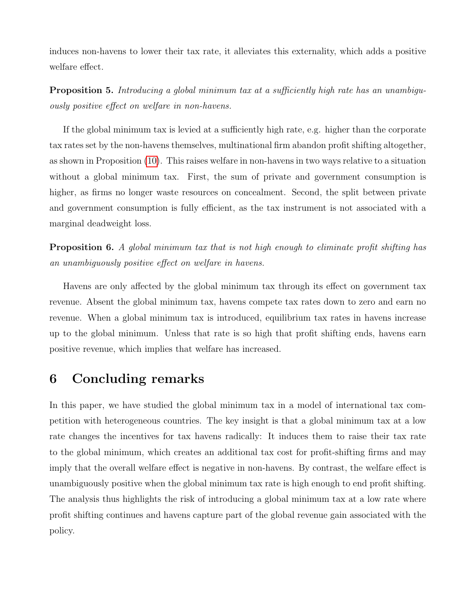induces non-havens to lower their tax rate, it alleviates this externality, which adds a positive welfare effect.

**Proposition 5.** Introducing a global minimum tax at a sufficiently high rate has an unambiguously positive effect on welfare in non-havens.

If the global minimum tax is levied at a sufficiently high rate, e.g. higher than the corporate tax rates set by the non-havens themselves, multinational firm abandon profit shifting altogether, as shown in Proposition [\(10\)](#page-13-1). This raises welfare in non-havens in two ways relative to a situation without a global minimum tax. First, the sum of private and government consumption is higher, as firms no longer waste resources on concealment. Second, the split between private and government consumption is fully efficient, as the tax instrument is not associated with a marginal deadweight loss.

**Proposition 6.** A global minimum tax that is not high enough to eliminate profit shifting has an unambiguously positive effect on welfare in havens.

Havens are only affected by the global minimum tax through its effect on government tax revenue. Absent the global minimum tax, havens compete tax rates down to zero and earn no revenue. When a global minimum tax is introduced, equilibrium tax rates in havens increase up to the global minimum. Unless that rate is so high that profit shifting ends, havens earn positive revenue, which implies that welfare has increased.

### 6 Concluding remarks

In this paper, we have studied the global minimum tax in a model of international tax competition with heterogeneous countries. The key insight is that a global minimum tax at a low rate changes the incentives for tax havens radically: It induces them to raise their tax rate to the global minimum, which creates an additional tax cost for profit-shifting firms and may imply that the overall welfare effect is negative in non-havens. By contrast, the welfare effect is unambiguously positive when the global minimum tax rate is high enough to end profit shifting. The analysis thus highlights the risk of introducing a global minimum tax at a low rate where profit shifting continues and havens capture part of the global revenue gain associated with the policy.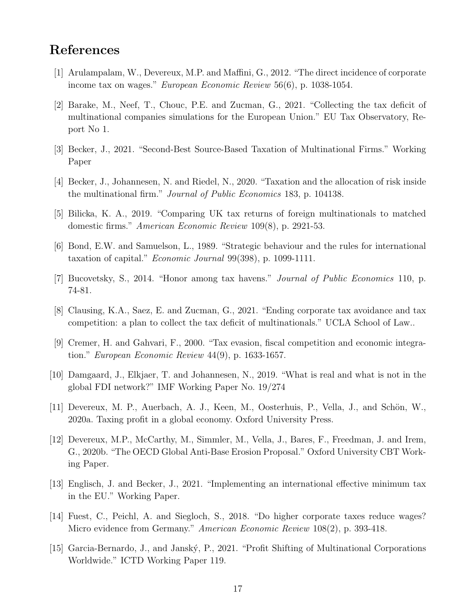# References

- [1] Arulampalam, W., Devereux, M.P. and Maffini, G., 2012. "The direct incidence of corporate income tax on wages." European Economic Review 56(6), p. 1038-1054.
- [2] Barake, M., Neef, T., Chouc, P.E. and Zucman, G., 2021. "Collecting the tax deficit of multinational companies simulations for the European Union." EU Tax Observatory, Report No 1.
- [3] Becker, J., 2021. "Second-Best Source-Based Taxation of Multinational Firms." Working Paper
- [4] Becker, J., Johannesen, N. and Riedel, N., 2020. "Taxation and the allocation of risk inside the multinational firm." Journal of Public Economics 183, p. 104138.
- [5] Bilicka, K. A., 2019. "Comparing UK tax returns of foreign multinationals to matched domestic firms." American Economic Review 109(8), p. 2921-53.
- [6] Bond, E.W. and Samuelson, L., 1989. "Strategic behaviour and the rules for international taxation of capital." *Economic Journal* 99(398), p. 1099-1111.
- [7] Bucovetsky, S., 2014. "Honor among tax havens." Journal of Public Economics 110, p. 74-81.
- [8] Clausing, K.A., Saez, E. and Zucman, G., 2021. "Ending corporate tax avoidance and tax competition: a plan to collect the tax deficit of multinationals." UCLA School of Law..
- [9] Cremer, H. and Gahvari, F., 2000. "Tax evasion, fiscal competition and economic integration." European Economic Review 44(9), p. 1633-1657.
- [10] Damgaard, J., Elkjaer, T. and Johannesen, N., 2019. "What is real and what is not in the global FDI network?" IMF Working Paper No. 19/274
- [11] Devereux, M. P., Auerbach, A. J., Keen, M., Oosterhuis, P., Vella, J., and Schön, W., 2020a. Taxing profit in a global economy. Oxford University Press.
- [12] Devereux, M.P., McCarthy, M., Simmler, M., Vella, J., Bares, F., Freedman, J. and Irem, G., 2020b. "The OECD Global Anti-Base Erosion Proposal." Oxford University CBT Working Paper.
- [13] Englisch, J. and Becker, J., 2021. "Implementing an international effective minimum tax in the EU." Working Paper.
- [14] Fuest, C., Peichl, A. and Siegloch, S., 2018. "Do higher corporate taxes reduce wages? Micro evidence from Germany." American Economic Review 108(2), p. 393-418.
- [15] Garcia-Bernardo, J., and Janský, P., 2021. "Profit Shifting of Multinational Corporations Worldwide." ICTD Working Paper 119.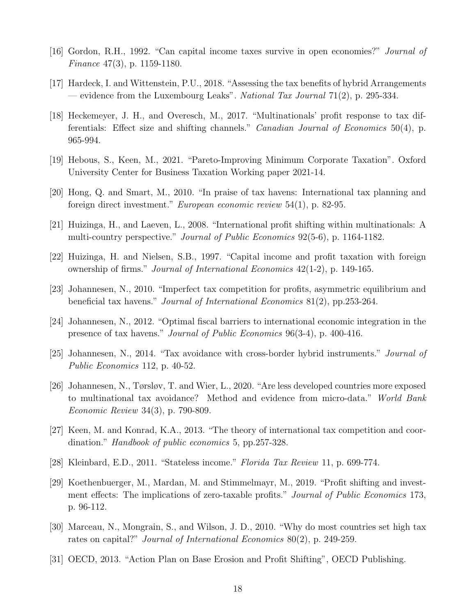- [16] Gordon, R.H., 1992. "Can capital income taxes survive in open economies?" Journal of Finance 47(3), p. 1159-1180.
- [17] Hardeck, I. and Wittenstein, P.U., 2018. "Assessing the tax benefits of hybrid Arrangements — evidence from the Luxembourg Leaks". National Tax Journal  $71(2)$ , p. 295-334.
- [18] Heckemeyer, J. H., and Overesch, M., 2017. "Multinationals' profit response to tax differentials: Effect size and shifting channels." *Canadian Journal of Economics* 50(4), p. 965-994.
- [19] Hebous, S., Keen, M., 2021. "Pareto-Improving Minimum Corporate Taxation". Oxford University Center for Business Taxation Working paper 2021-14.
- [20] Hong, Q. and Smart, M., 2010. "In praise of tax havens: International tax planning and foreign direct investment." European economic review 54(1), p. 82-95.
- [21] Huizinga, H., and Laeven, L., 2008. "International profit shifting within multinationals: A multi-country perspective." Journal of Public Economics 92(5-6), p. 1164-1182.
- [22] Huizinga, H. and Nielsen, S.B., 1997. "Capital income and profit taxation with foreign ownership of firms." Journal of International Economics 42(1-2), p. 149-165.
- [23] Johannesen, N., 2010. "Imperfect tax competition for profits, asymmetric equilibrium and beneficial tax havens." *Journal of International Economics* 81(2), pp.253-264.
- [24] Johannesen, N., 2012. "Optimal fiscal barriers to international economic integration in the presence of tax havens." Journal of Public Economics 96(3-4), p. 400-416.
- [25] Johannesen, N., 2014. "Tax avoidance with cross-border hybrid instruments." Journal of Public Economics 112, p. 40-52.
- [26] Johannesen, N., Tørsløv, T. and Wier, L., 2020. "Are less developed countries more exposed to multinational tax avoidance? Method and evidence from micro-data." World Bank Economic Review 34(3), p. 790-809.
- [27] Keen, M. and Konrad, K.A., 2013. "The theory of international tax competition and coordination." *Handbook of public economics* 5, pp.257-328.
- [28] Kleinbard, E.D., 2011. "Stateless income." Florida Tax Review 11, p. 699-774.
- [29] Koethenbuerger, M., Mardan, M. and Stimmelmayr, M., 2019. "Profit shifting and investment effects: The implications of zero-taxable profits." Journal of Public Economics 173, p. 96-112.
- [30] Marceau, N., Mongrain, S., and Wilson, J. D., 2010. "Why do most countries set high tax rates on capital?" Journal of International Economics 80(2), p. 249-259.
- [31] OECD, 2013. "Action Plan on Base Erosion and Profit Shifting", OECD Publishing.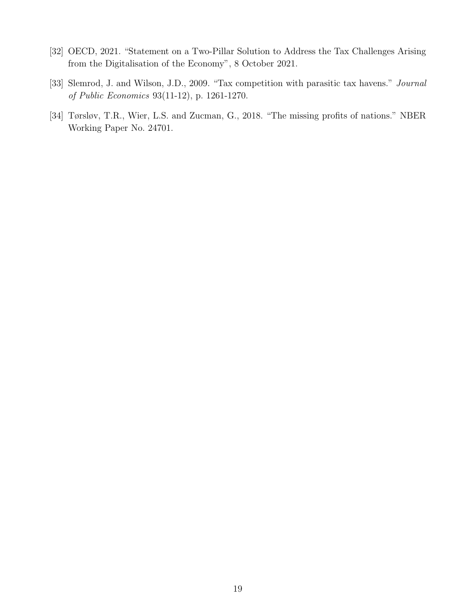- [32] OECD, 2021. "Statement on a Two-Pillar Solution to Address the Tax Challenges Arising from the Digitalisation of the Economy", 8 October 2021.
- [33] Slemrod, J. and Wilson, J.D., 2009. "Tax competition with parasitic tax havens." Journal of Public Economics 93(11-12), p. 1261-1270.
- [34] Tørsløv, T.R., Wier, L.S. and Zucman, G., 2018. "The missing profits of nations." NBER Working Paper No. 24701.